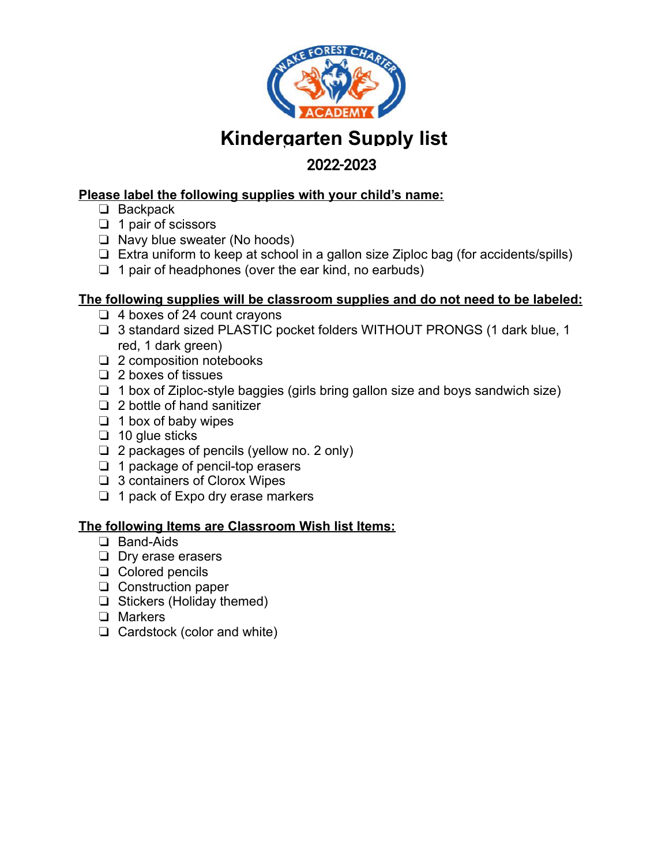

# **Kindergarten Supply list**

# **2021-2022**  2022-2023

### **Please label the following supplies with your child's name:**

- ❏ Backpack
- ❏ 1 pair of scissors
- ❏ Navy blue sweater (No hoods)
- ❏ Extra uniform to keep at school in a gallon size Ziploc bag (for accidents/spills)
- ❏ 1 pair of headphones (over the ear kind, no earbuds)

### **The following supplies will be classroom supplies and do not need to be labeled:**

- ❏ 4 boxes of 24 count crayons
- ❏ 3 standard sized PLASTIC pocket folders WITHOUT PRONGS (1 dark blue, 1 red, 1 dark green)
- ❏ 2 composition notebooks
- ❏ 2 boxes of tissues
- ❏ 1 box of Ziploc-style baggies (girls bring gallon size and boys sandwich size)
- ❏ 2 bottle of hand sanitizer
- ❏ 1 box of baby wipes
- ❏ 10 glue sticks
- ❏ 2 packages of pencils (yellow no. 2 only)
- ❏ 1 package of pencil-top erasers
- ❏ 3 containers of Clorox Wipes
- ❏ 1 pack of Expo dry erase markers

- ❏ Band-Aids
- ❏ Dry erase erasers
- ❏ Colored pencils
- ❏ Construction paper
- ❏ Stickers (Holiday themed)
- ❏ Markers
- ❏ Cardstock (color and white)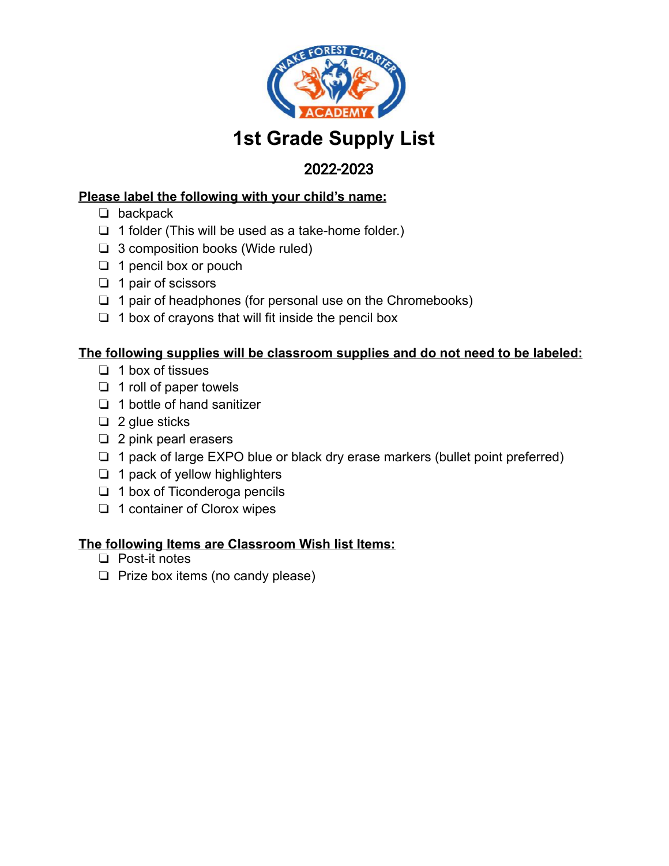

# **1st Grade Supply List**

# **2021-2022**  2022-2023

### **Please label the following with your child's name:**

- ❏ backpack
- ❏ 1 folder (This will be used as a take-home folder.)
- ❏ 3 composition books (Wide ruled)
- ❏ 1 pencil box or pouch
- ❏ 1 pair of scissors
- ❏ 1 pair of headphones (for personal use on the Chromebooks)
- ❏ 1 box of crayons that will fit inside the pencil box

### **The following supplies will be classroom supplies and do not need to be labeled:**

- ❏ 1 box of tissues
- ❏ 1 roll of paper towels
- ❏ 1 bottle of hand sanitizer
- ❏ 2 glue sticks
- ❏ 2 pink pearl erasers
- ❏ 1 pack of large EXPO blue or black dry erase markers (bullet point preferred)
- ❏ 1 pack of yellow highlighters
- ❏ 1 box of Ticonderoga pencils
- ❏ 1 container of Clorox wipes

- ❏ Post-it notes
- ❏ Prize box items (no candy please)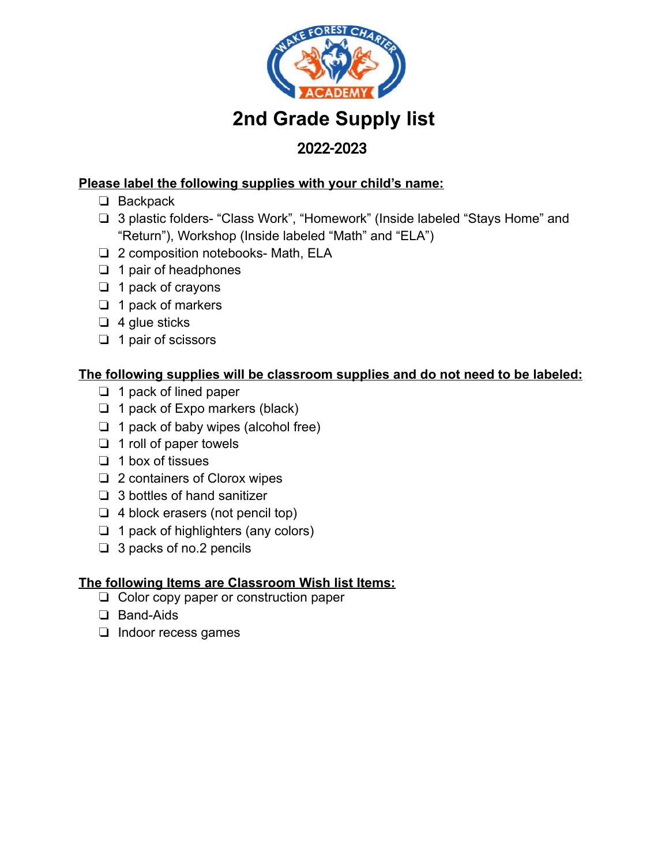

# **2nd Grade Supply list**

# **2021-2022**  2022-2023

### **Please label the following supplies with your child's name:**

- ❏ Backpack
- ❏ 3 plastic folders- "Class Work", "Homework" (Inside labeled "Stays Home" and "Return"), Workshop (Inside labeled "Math" and "ELA")
- ❏ 2 composition notebooks- Math, ELA
- ❏ 1 pair of headphones
- ❏ 1 pack of crayons
- ❏ 1 pack of markers
- ❏ 4 glue sticks
- ❏ 1 pair of scissors

### **The following supplies will be classroom supplies and do not need to be labeled:**

- ❏ 1 pack of lined paper
- ❏ 1 pack of Expo markers (black)
- ❏ 1 pack of baby wipes (alcohol free)
- ❏ 1 roll of paper towels
- ❏ 1 box of tissues
- ❏ 2 containers of Clorox wipes
- ❏ 3 bottles of hand sanitizer
- ❏ 4 block erasers (not pencil top)
- ❏ 1 pack of highlighters (any colors)
- ❏ 3 packs of no.2 pencils

- ❏ Color copy paper or construction paper
- ❏ Band-Aids
- ❏ Indoor recess games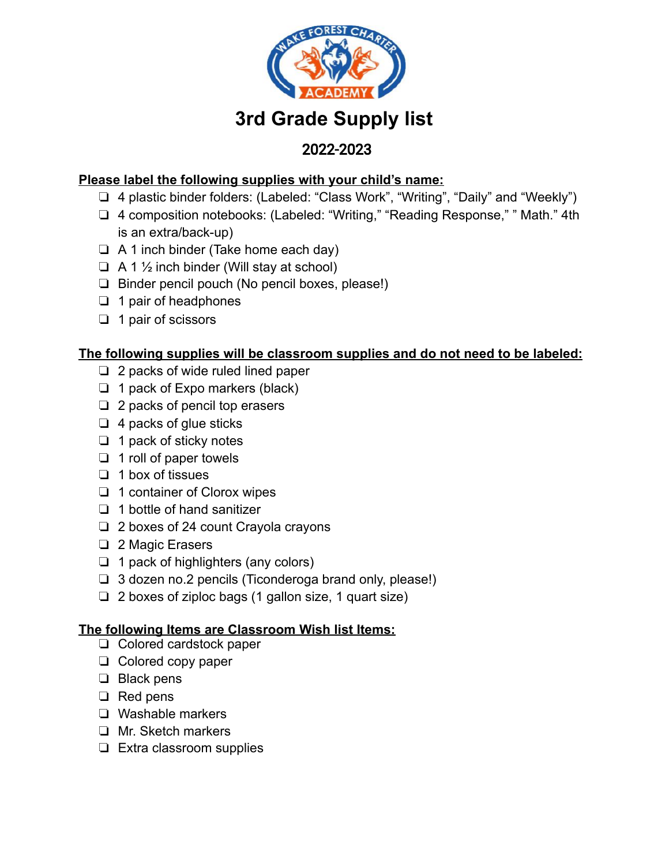

# **3rd Grade Supply list**

# **2021-2022**  2022-2023

### **Please label the following supplies with your child's name:**

- ❏ 4 plastic binder folders: (Labeled: "Class Work", "Writing", "Daily" and "Weekly")
- ❏ 4 composition notebooks: (Labeled: "Writing," "Reading Response," " Math." 4th is an extra/back-up)
- ❏ A 1 inch binder (Take home each day)
- $\Box$  A 1  $\frac{1}{2}$  inch binder (Will stay at school)
- ❏ Binder pencil pouch (No pencil boxes, please!)
- ❏ 1 pair of headphones
- ❏ 1 pair of scissors

### **The following supplies will be classroom supplies and do not need to be labeled:**

- ❏ 2 packs of wide ruled lined paper
- ❏ 1 pack of Expo markers (black)
- ❏ 2 packs of pencil top erasers
- ❏ 4 packs of glue sticks
- ❏ 1 pack of sticky notes
- ❏ 1 roll of paper towels
- ❏ 1 box of tissues
- ❏ 1 container of Clorox wipes
- ❏ 1 bottle of hand sanitizer
- ❏ 2 boxes of 24 count Crayola crayons
- ❏ 2 Magic Erasers
- ❏ 1 pack of highlighters (any colors)
- ❏ 3 dozen no.2 pencils (Ticonderoga brand only, please!)
- ❏ 2 boxes of ziploc bags (1 gallon size, 1 quart size)

- ❏ Colored cardstock paper
- ❏ Colored copy paper
- ❏ Black pens
- ❏ Red pens
- ❏ Washable markers
- ❏ Mr. Sketch markers
- ❏ Extra classroom supplies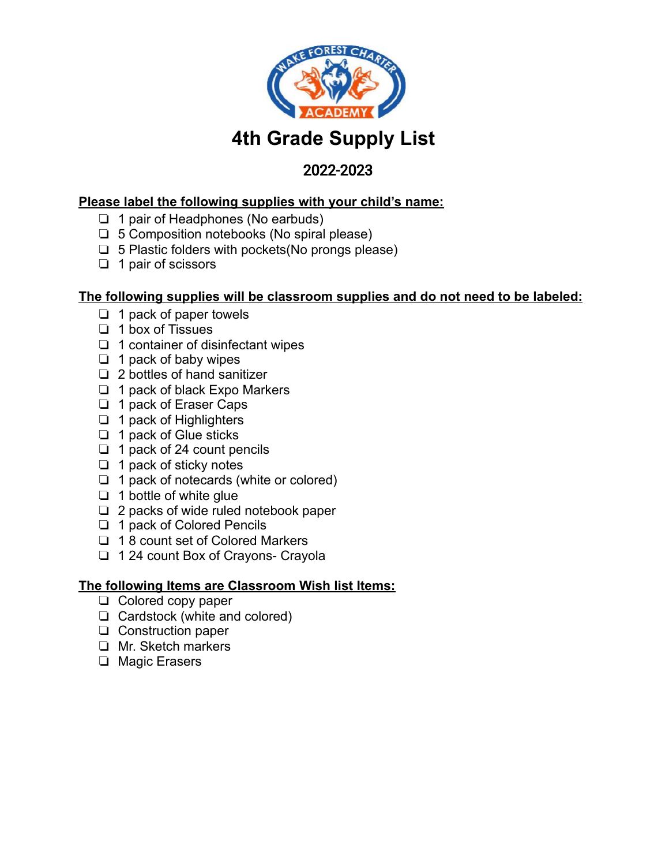

# **4th Grade Supply List**

# **2021-2022**  2022-2023

#### **Please label the following supplies with your child's name:**

- ❏ 1 pair of Headphones (No earbuds)
- ❏ 5 Composition notebooks (No spiral please)
- $\Box$  5 Plastic folders with pockets (No prongs please)
- ❏ 1 pair of scissors

#### **The following supplies will be classroom supplies and do not need to be labeled:**

- ❏ 1 pack of paper towels
- ❏ 1 box of Tissues
- ❏ 1 container of disinfectant wipes
- ❏ 1 pack of baby wipes
- ❏ 2 bottles of hand sanitizer
- ❏ 1 pack of black Expo Markers
- ❏ 1 pack of Eraser Caps
- ❏ 1 pack of Highlighters
- ❏ 1 pack of Glue sticks
- ❏ 1 pack of 24 count pencils
- ❏ 1 pack of sticky notes
- ❏ 1 pack of notecards (white or colored)
- ❏ 1 bottle of white glue
- ❏ 2 packs of wide ruled notebook paper
- ❏ 1 pack of Colored Pencils
- ❏ 1 8 count set of Colored Markers
- ❏ 1 24 count Box of Crayons- Crayola

- ❏ Colored copy paper
- ❏ Cardstock (white and colored)
- ❏ Construction paper
- ❏ Mr. Sketch markers
- ❏ Magic Erasers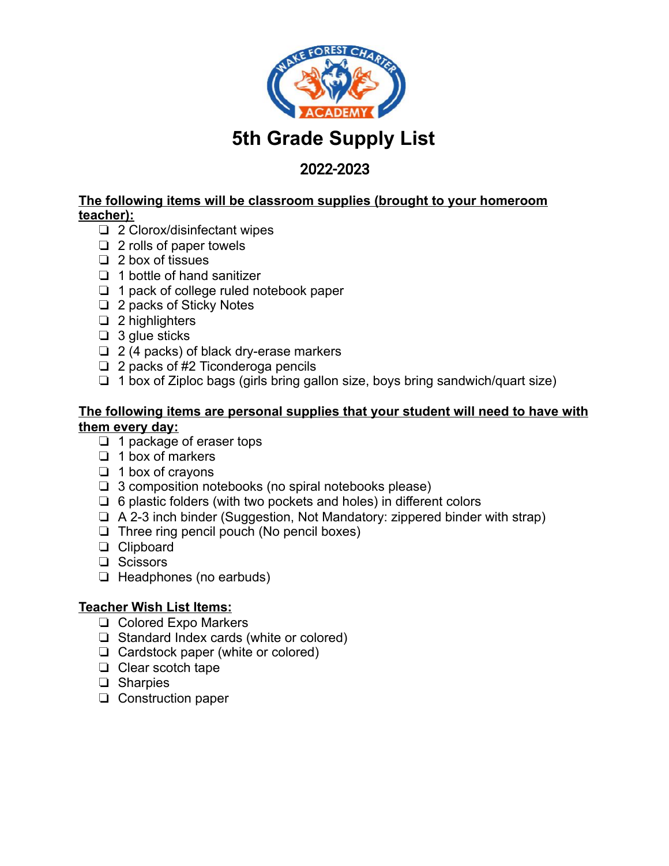

# **5th Grade Supply List**

# **2021-2022**  2022-2023

**The following items will be classroom supplies (brought to your homeroom teacher):** 

- ❏ 2 Clorox/disinfectant wipes
- ❏ 2 rolls of paper towels
- ❏ 2 box of tissues
- ❏ 1 bottle of hand sanitizer
- ❏ 1 pack of college ruled notebook paper
- ❏ 2 packs of Sticky Notes
- ❏ 2 highlighters
- ❏ 3 glue sticks
- ❏ 2 (4 packs) of black dry-erase markers
- ❏ 2 packs of #2 Ticonderoga pencils
- ❏ 1 box of Ziploc bags (girls bring gallon size, boys bring sandwich/quart size)

#### **The following items are personal supplies that your student will need to have with them every day:**

- ❏ 1 package of eraser tops
- ❏ 1 box of markers
- ❏ 1 box of crayons
- ❏ 3 composition notebooks (no spiral notebooks please)
- ❏ 6 plastic folders (with two pockets and holes) in different colors
- ❏ A 2-3 inch binder (Suggestion, Not Mandatory: zippered binder with strap)
- ❏ Three ring pencil pouch (No pencil boxes)
- ❏ Clipboard
- ❏ Scissors
- ❏ Headphones (no earbuds)

#### **Teacher Wish List Items:**

- ❏ Colored Expo Markers
- ❏ Standard Index cards (white or colored)
- ❏ Cardstock paper (white or colored)
- ❏ Clear scotch tape
- ❏ Sharpies
- ❏ Construction paper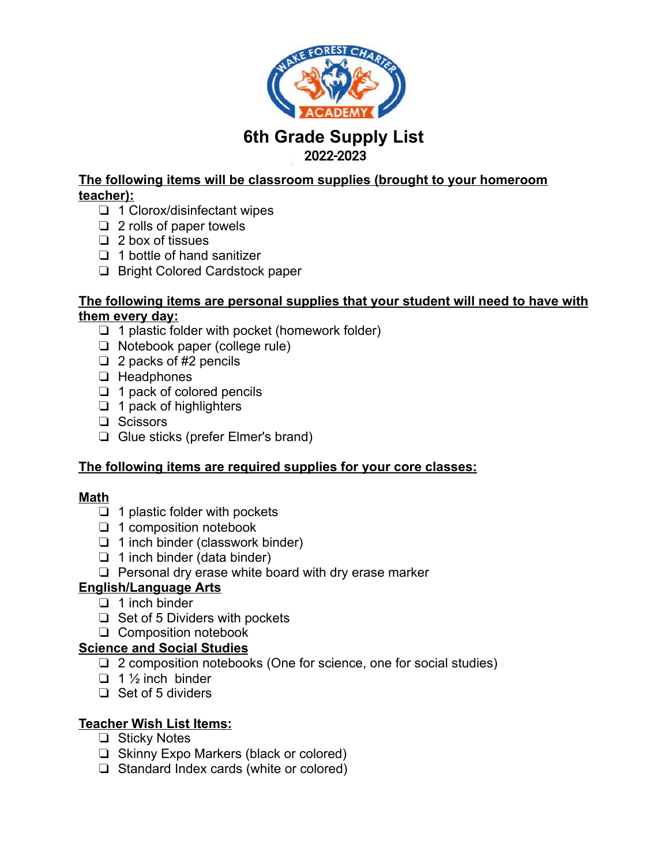

# **6th Grade Supply List 2021-2022** 2022-2023

### **The following items will be classroom supplies (brought to your homeroom teacher):**

- ❏ 1 Clorox/disinfectant wipes
- ❏ 2 rolls of paper towels
- ❏ 2 box of tissues
- ❏ 1 bottle of hand sanitizer
- ❏ Bright Colored Cardstock paper

#### **The following items are personal supplies that your student will need to have with them every day:**

- ❏ 1 plastic folder with pocket (homework folder)
- ❏ Notebook paper (college rule)
- ❏ 2 packs of #2 pencils
- ❏ Headphones
- ❏ 1 pack of colored pencils
- ❏ 1 pack of highlighters
- ❏ Scissors
- ❏ Glue sticks (prefer Elmer's brand)

### **The following items are required supplies for your core classes:**

#### **Math**

- ❏ 1 plastic folder with pockets
- ❏ 1 composition notebook
- ❏ 1 inch binder (classwork binder)
- ❏ 1 inch binder (data binder)
- ❏ Personal dry erase white board with dry erase marker

### **English/Language Arts**

- ❏ 1 inch binder
- ❏ Set of 5 Dividers with pockets
- ❏ Composition notebook

#### **Science and Social Studies**

- ❏ 2 composition notebooks (One for science, one for social studies)
- $\Box$  1  $\frac{1}{2}$  inch binder
- ❏ Set of 5 dividers

#### **Teacher Wish List Items:**

- ❏ Sticky Notes
- ❏ Skinny Expo Markers (black or colored)
- ❏ Standard Index cards (white or colored)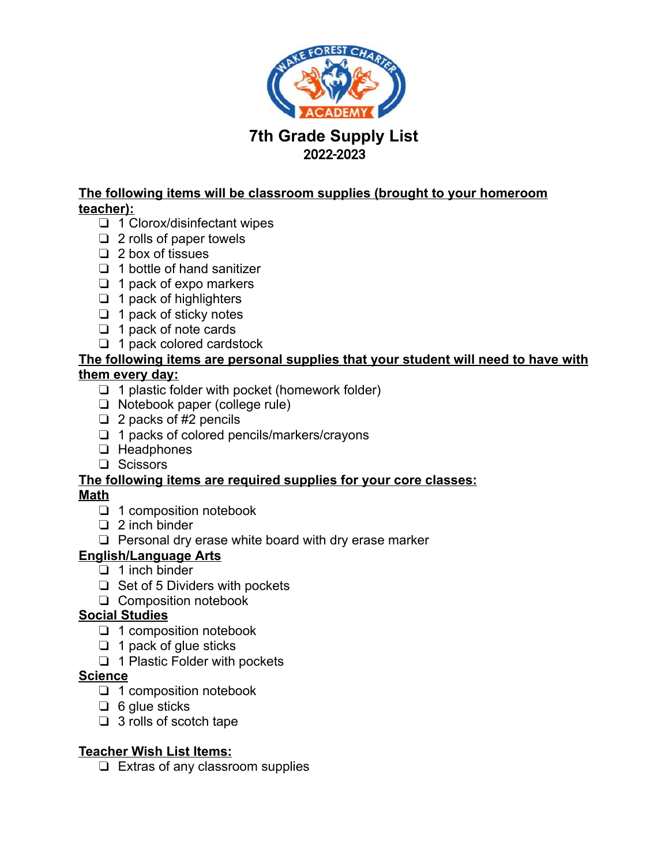

## **7th Grade Supply List 2021-2022** 2022-2023

### **The following items will be classroom supplies (brought to your homeroom teacher):**

- ❏ 1 Clorox/disinfectant wipes
- ❏ 2 rolls of paper towels
- ❏ 2 box of tissues
- ❏ 1 bottle of hand sanitizer
- ❏ 1 pack of expo markers
- ❏ 1 pack of highlighters
- ❏ 1 pack of sticky notes
- ❏ 1 pack of note cards
- ❏ 1 pack colored cardstock

#### **The following items are personal supplies that your student will need to have with them every day:**

- ❏ 1 plastic folder with pocket (homework folder)
- ❏ Notebook paper (college rule)
- $\Box$  2 packs of #2 pencils
- ❏ 1 packs of colored pencils/markers/crayons
- ❏ Headphones
- ❏ Scissors

#### **The following items are required supplies for your core classes: Math**

- ❏ 1 composition notebook
- ❏ 2 inch binder
- ❏ Personal dry erase white board with dry erase marker
- **English/Language Arts** 
	- ❏ 1 inch binder
	- ❏ Set of 5 Dividers with pockets
	- ❏ Composition notebook

#### **Social Studies**

- ❏ 1 composition notebook
- ❏ 1 pack of glue sticks
- ❏ 1 Plastic Folder with pockets

#### **Science**

- ❏ 1 composition notebook
- ❏ 6 glue sticks
- ❏ 3 rolls of scotch tape

#### **Teacher Wish List Items:**

❏ Extras of any classroom supplies